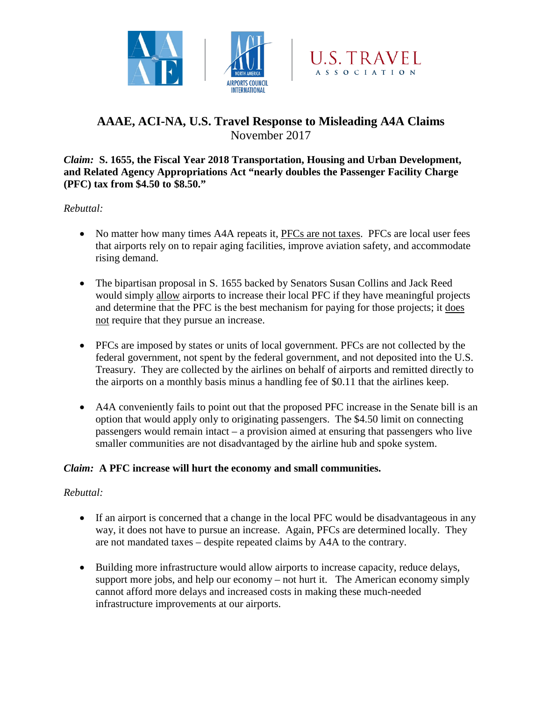



# **AAAE, ACI-NA, U.S. Travel Response to Misleading A4A Claims** November 2017

#### *Claim:* **S. 1655, the Fiscal Year 2018 Transportation, Housing and Urban Development, and Related Agency Appropriations Act "nearly doubles the Passenger Facility Charge (PFC) tax from \$4.50 to \$8.50."**

*Rebuttal:*

- No matter how many times A4A repeats it, PFCs are not taxes. PFCs are local user fees that airports rely on to repair aging facilities, improve aviation safety, and accommodate rising demand.
- The bipartisan proposal in S. 1655 backed by Senators Susan Collins and Jack Reed would simply allow airports to increase their local PFC if they have meaningful projects and determine that the PFC is the best mechanism for paying for those projects; it does not require that they pursue an increase.
- PFCs are imposed by states or units of local government. PFCs are not collected by the federal government, not spent by the federal government, and not deposited into the U.S. Treasury. They are collected by the airlines on behalf of airports and remitted directly to the airports on a monthly basis minus a handling fee of \$0.11 that the airlines keep.
- A4A conveniently fails to point out that the proposed PFC increase in the Senate bill is an option that would apply only to originating passengers. The \$4.50 limit on connecting passengers would remain intact – a provision aimed at ensuring that passengers who live smaller communities are not disadvantaged by the airline hub and spoke system.

### *Claim:* **A PFC increase will hurt the economy and small communities.**

### *Rebuttal:*

- If an airport is concerned that a change in the local PFC would be disadvantageous in any way, it does not have to pursue an increase. Again, PFCs are determined locally. They are not mandated taxes – despite repeated claims by A4A to the contrary.
- Building more infrastructure would allow airports to increase capacity, reduce delays, support more jobs, and help our economy – not hurt it. The American economy simply cannot afford more delays and increased costs in making these much-needed infrastructure improvements at our airports.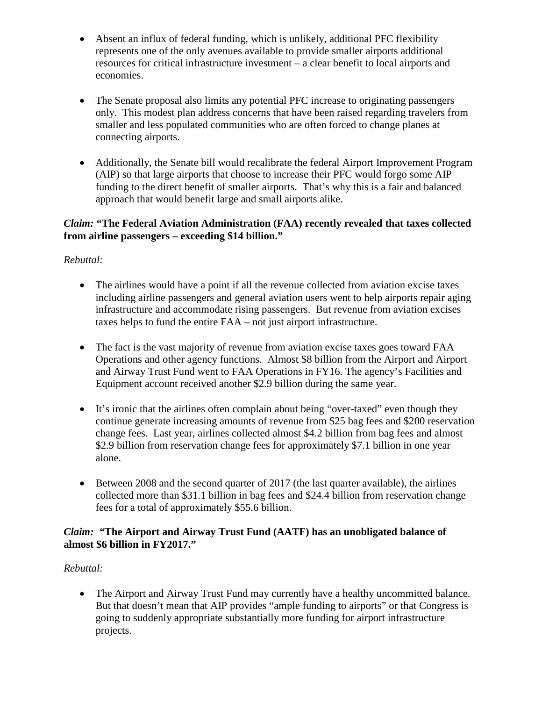- Absent an influx of federal funding, which is unlikely, additional PFC flexibility represents one of the only avenues available to provide smaller airports additional resources for critical infrastructure investment – a clear benefit to local airports and economies.
- The Senate proposal also limits any potential PFC increase to originating passengers only. This modest plan address concerns that have been raised regarding travelers from smaller and less populated communities who are often forced to change planes at connecting airports.
- Additionally, the Senate bill would recalibrate the federal Airport Improvement Program (AIP) so that large airports that choose to increase their PFC would forgo some AIP funding to the direct benefit of smaller airports. That's why this is a fair and balanced approach that would benefit large and small airports alike.

#### *Claim:* **"The Federal Aviation Administration (FAA) recently revealed that taxes collected from airline passengers – exceeding \$14 billion."**

# *Rebuttal:*

- The airlines would have a point if all the revenue collected from aviation excise taxes including airline passengers and general aviation users went to help airports repair aging infrastructure and accommodate rising passengers. But revenue from aviation excises taxes helps to fund the entire FAA – not just airport infrastructure.
- The fact is the vast majority of revenue from aviation excise taxes goes toward FAA Operations and other agency functions. Almost \$8 billion from the Airport and Airport and Airway Trust Fund went to FAA Operations in FY16. The agency's Facilities and Equipment account received another \$2.9 billion during the same year.
- It's ironic that the airlines often complain about being "over-taxed" even though they continue generate increasing amounts of revenue from \$25 bag fees and \$200 reservation change fees. Last year, airlines collected almost \$4.2 billion from bag fees and almost \$2.9 billion from reservation change fees for approximately \$7.1 billion in one year alone.
- Between 2008 and the second quarter of 2017 (the last quarter available), the airlines collected more than \$31.1 billion in bag fees and \$24.4 billion from reservation change fees for a total of approximately \$55.6 billion.

### *Claim: "***The Airport and Airway Trust Fund (AATF) has an unobligated balance of almost \$6 billion in FY2017."**

# *Rebuttal:*

• The Airport and Airway Trust Fund may currently have a healthy uncommitted balance. But that doesn't mean that AIP provides "ample funding to airports" or that Congress is going to suddenly appropriate substantially more funding for airport infrastructure projects.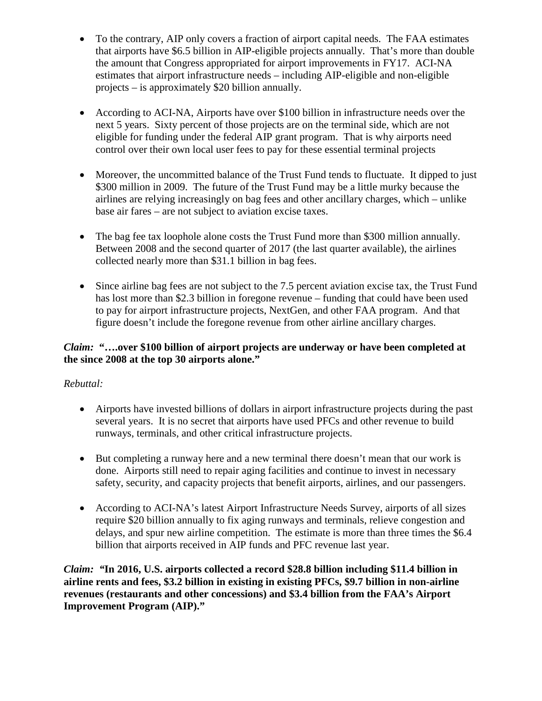- To the contrary, AIP only covers a fraction of airport capital needs. The FAA estimates that airports have \$6.5 billion in AIP-eligible projects annually. That's more than double the amount that Congress appropriated for airport improvements in FY17. ACI-NA estimates that airport infrastructure needs – including AIP-eligible and non-eligible projects – is approximately \$20 billion annually.
- According to ACI-NA, Airports have over \$100 billion in infrastructure needs over the next 5 years. Sixty percent of those projects are on the terminal side, which are not eligible for funding under the federal AIP grant program. That is why airports need control over their own local user fees to pay for these essential terminal projects
- Moreover, the uncommitted balance of the Trust Fund tends to fluctuate. It dipped to just \$300 million in 2009. The future of the Trust Fund may be a little murky because the airlines are relying increasingly on bag fees and other ancillary charges, which – unlike base air fares – are not subject to aviation excise taxes.
- The bag fee tax loophole alone costs the Trust Fund more than \$300 million annually. Between 2008 and the second quarter of 2017 (the last quarter available), the airlines collected nearly more than \$31.1 billion in bag fees.
- Since airline bag fees are not subject to the 7.5 percent aviation excise tax, the Trust Fund has lost more than \$2.3 billion in foregone revenue – funding that could have been used to pay for airport infrastructure projects, NextGen, and other FAA program. And that figure doesn't include the foregone revenue from other airline ancillary charges.

### *Claim:* **"….over \$100 billion of airport projects are underway or have been completed at the since 2008 at the top 30 airports alone."**

# *Rebuttal:*

- Airports have invested billions of dollars in airport infrastructure projects during the past several years. It is no secret that airports have used PFCs and other revenue to build runways, terminals, and other critical infrastructure projects.
- But completing a runway here and a new terminal there doesn't mean that our work is done. Airports still need to repair aging facilities and continue to invest in necessary safety, security, and capacity projects that benefit airports, airlines, and our passengers.
- According to ACI-NA's latest Airport Infrastructure Needs Survey, airports of all sizes require \$20 billion annually to fix aging runways and terminals, relieve congestion and delays, and spur new airline competition. The estimate is more than three times the \$6.4 billion that airports received in AIP funds and PFC revenue last year.

*Claim: "***In 2016, U.S. airports collected a record \$28.8 billion including \$11.4 billion in airline rents and fees, \$3.2 billion in existing in existing PFCs, \$9.7 billion in non-airline revenues (restaurants and other concessions) and \$3.4 billion from the FAA's Airport Improvement Program (AIP)."**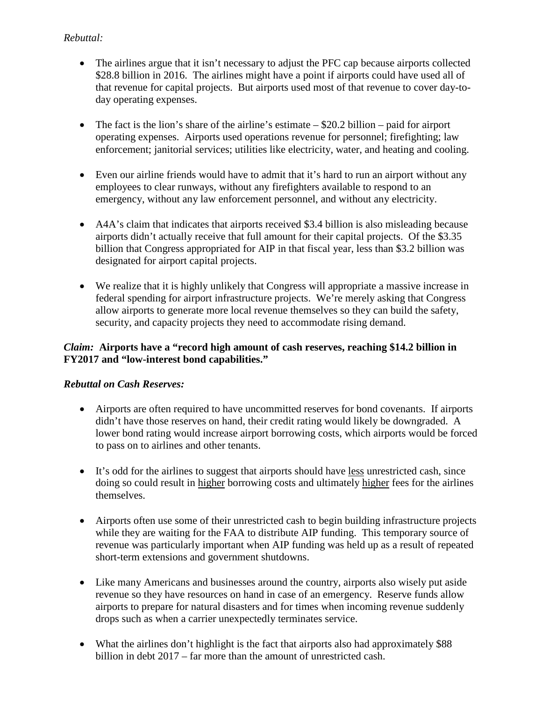### *Rebuttal:*

- The airlines argue that it isn't necessary to adjust the PFC cap because airports collected \$28.8 billion in 2016. The airlines might have a point if airports could have used all of that revenue for capital projects. But airports used most of that revenue to cover day-today operating expenses.
- The fact is the lion's share of the airline's estimate  $-\$20.2$  billion paid for airport operating expenses. Airports used operations revenue for personnel; firefighting; law enforcement; janitorial services; utilities like electricity, water, and heating and cooling.
- Even our airline friends would have to admit that it's hard to run an airport without any employees to clear runways, without any firefighters available to respond to an emergency, without any law enforcement personnel, and without any electricity.
- A4A's claim that indicates that airports received \$3.4 billion is also misleading because airports didn't actually receive that full amount for their capital projects. Of the \$3.35 billion that Congress appropriated for AIP in that fiscal year, less than \$3.2 billion was designated for airport capital projects.
- We realize that it is highly unlikely that Congress will appropriate a massive increase in federal spending for airport infrastructure projects. We're merely asking that Congress allow airports to generate more local revenue themselves so they can build the safety, security, and capacity projects they need to accommodate rising demand.

### *Claim:* **Airports have a "record high amount of cash reserves, reaching \$14.2 billion in FY2017 and "low-interest bond capabilities."**

### *Rebuttal on Cash Reserves:*

- Airports are often required to have uncommitted reserves for bond covenants.If airports didn't have those reserves on hand, their credit rating would likely be downgraded. A lower bond rating would increase airport borrowing costs, which airports would be forced to pass on to airlines and other tenants.
- It's odd for the airlines to suggest that airports should have less unrestricted cash, since doing so could result in higher borrowing costs and ultimately higher fees for the airlines themselves.
- Airports often use some of their unrestricted cash to begin building infrastructure projects while they are waiting for the FAA to distribute AIP funding. This temporary source of revenue was particularly important when AIP funding was held up as a result of repeated short-term extensions and government shutdowns.
- Like many Americans and businesses around the country, airports also wisely put aside revenue so they have resources on hand in case of an emergency. Reserve funds allow airports to prepare for natural disasters and for times when incoming revenue suddenly drops such as when a carrier unexpectedly terminates service.
- What the airlines don't highlight is the fact that airports also had approximately \$88 billion in debt 2017 – far more than the amount of unrestricted cash.